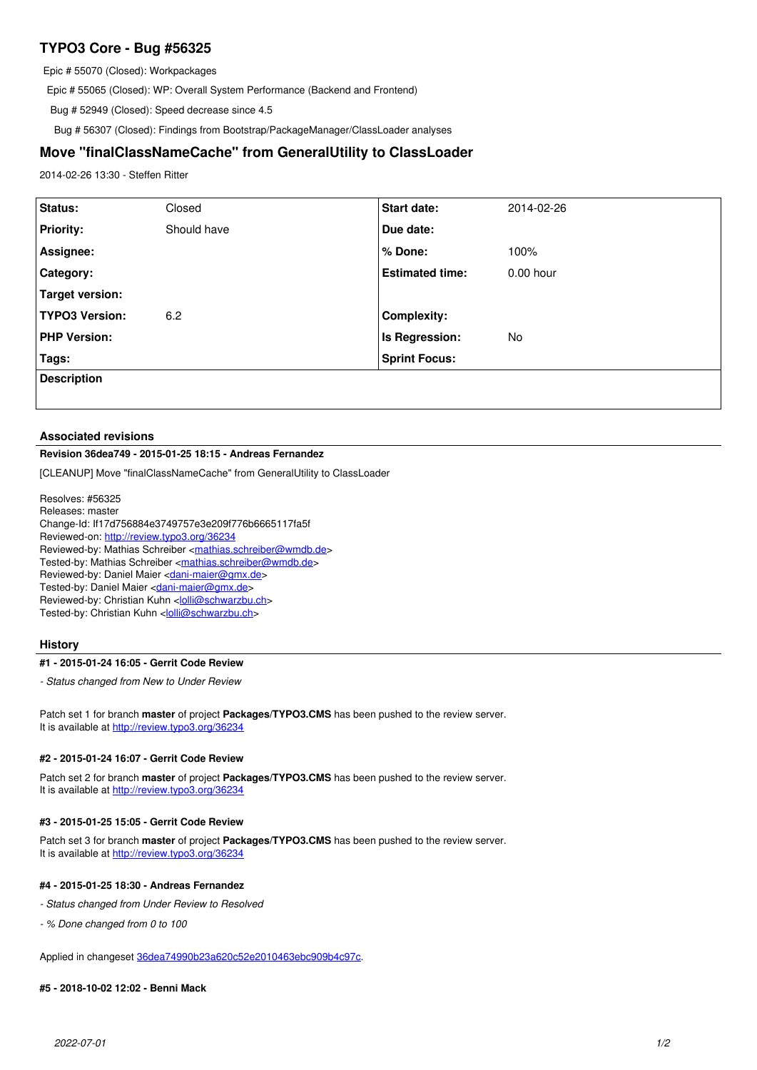# **TYPO3 Core - Bug #56325**

Epic # 55070 (Closed): Workpackages

Epic # 55065 (Closed): WP: Overall System Performance (Backend and Frontend)

Bug # 52949 (Closed): Speed decrease since 4.5

Bug # 56307 (Closed): Findings from Bootstrap/PackageManager/ClassLoader analyses

## **Move "finalClassNameCache" from GeneralUtility to ClassLoader**

2014-02-26 13:30 - Steffen Ritter

| Status:               | Closed      | <b>Start date:</b>     | 2014-02-26  |
|-----------------------|-------------|------------------------|-------------|
| <b>Priority:</b>      | Should have | Due date:              |             |
| Assignee:             |             | % Done:                | 100%        |
| <b>Category:</b>      |             | <b>Estimated time:</b> | $0.00$ hour |
| Target version:       |             |                        |             |
| <b>TYPO3 Version:</b> | 6.2         | <b>Complexity:</b>     |             |
| <b>PHP Version:</b>   |             | Is Regression:         | No          |
| Tags:                 |             | <b>Sprint Focus:</b>   |             |
| <b>Description</b>    |             |                        |             |
|                       |             |                        |             |

#### **Associated revisions**

## **Revision 36dea749 - 2015-01-25 18:15 - Andreas Fernandez**

[CLEANUP] Move "finalClassNameCache" from GeneralUtility to ClassLoader

Resolves: #56325 Releases: master Change-Id: If17d756884e3749757e3e209f776b6665117fa5f Reviewed-on:<http://review.typo3.org/36234> Reviewed-by: Mathias Schreiber [<mathias.schreiber@wmdb.de>](mailto:mathias.schreiber@wmdb.de) Tested-by: Mathias Schreiber <[mathias.schreiber@wmdb.de](mailto:mathias.schreiber@wmdb.de)> Reviewed-by: Daniel Maier <[dani-maier@gmx.de>](mailto:dani-maier@gmx.de) Tested-by: Daniel Maier <[dani-maier@gmx.de](mailto:dani-maier@gmx.de)> Reviewed-by: Christian Kuhn [<lolli@schwarzbu.ch>](mailto:lolli@schwarzbu.ch) Tested-by: Christian Kuhn <[lolli@schwarzbu.ch](mailto:lolli@schwarzbu.ch)>

### **History**

#### **#1 - 2015-01-24 16:05 - Gerrit Code Review**

*- Status changed from New to Under Review*

Patch set 1 for branch **master** of project **Packages/TYPO3.CMS** has been pushed to the review server. It is available at <http://review.typo3.org/36234>

#### **#2 - 2015-01-24 16:07 - Gerrit Code Review**

Patch set 2 for branch **master** of project **Packages/TYPO3.CMS** has been pushed to the review server. It is available at <http://review.typo3.org/36234>

#### **#3 - 2015-01-25 15:05 - Gerrit Code Review**

Patch set 3 for branch **master** of project **Packages/TYPO3.CMS** has been pushed to the review server. It is available at <http://review.typo3.org/36234>

## **#4 - 2015-01-25 18:30 - Andreas Fernandez**

- *Status changed from Under Review to Resolved*
- *% Done changed from 0 to 100*

Applied in changeset [36dea74990b23a620c52e2010463ebc909b4c97c.](https://forge.typo3.org/projects/typo3cms-core/repository/1749/revisions/36dea74990b23a620c52e2010463ebc909b4c97c)

### **#5 - 2018-10-02 12:02 - Benni Mack**